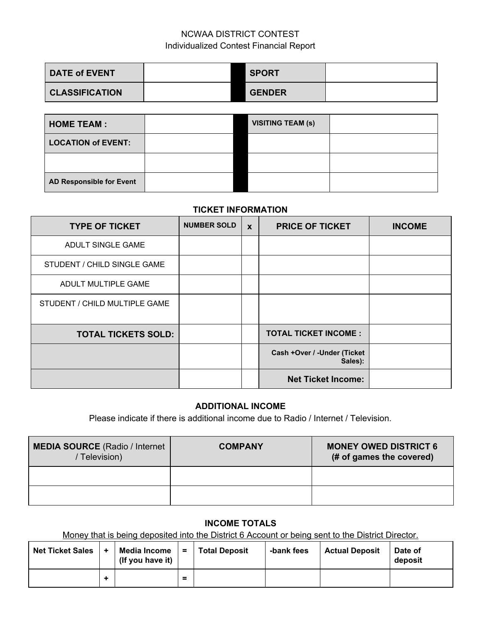# NCWAA DISTRICT CONTEST Individualized Contest Financial Report

| <b>DATE of EVENT</b>  | <b>SPORT</b>  |  |
|-----------------------|---------------|--|
| <b>CLASSIFICATION</b> | <b>GENDER</b> |  |

| <b>HOME TEAM:</b>         | <b>VISITING TEAM (s)</b> |  |
|---------------------------|--------------------------|--|
| <b>LOCATION of EVENT:</b> |                          |  |
|                           |                          |  |
| AD Responsible for Event  |                          |  |

#### **TICKET INFORMATION**

| <b>TYPE OF TICKET</b>         | <b>NUMBER SOLD</b> | $\mathbf x$ | <b>PRICE OF TICKET</b>                 | <b>INCOME</b> |
|-------------------------------|--------------------|-------------|----------------------------------------|---------------|
| ADULT SINGLE GAME             |                    |             |                                        |               |
| STUDENT / CHILD SINGLE GAME   |                    |             |                                        |               |
| ADULT MULTIPLE GAME           |                    |             |                                        |               |
| STUDENT / CHILD MULTIPLE GAME |                    |             |                                        |               |
| <b>TOTAL TICKETS SOLD:</b>    |                    |             | <b>TOTAL TICKET INCOME:</b>            |               |
|                               |                    |             | Cash +Over / -Under (Ticket<br>Sales): |               |
|                               |                    |             | <b>Net Ticket Income:</b>              |               |

#### **ADDITIONAL INCOME**

Please indicate if there is additional income due to Radio / Internet / Television.

| <b>MEDIA SOURCE (Radio / Internet</b><br>/ Television) | <b>COMPANY</b> | <b>MONEY OWED DISTRICT 6</b><br>(# of games the covered) |
|--------------------------------------------------------|----------------|----------------------------------------------------------|
|                                                        |                |                                                          |
|                                                        |                |                                                          |

# **INCOME TOTALS**

Money that is being deposited into the District 6 Account or being sent to the District Director.

| <b>Net Ticket Sales</b> | Media Income<br>(If you have it) | $=$      | <b>Total Deposit</b> | -bank fees | <b>Actual Deposit</b> | Date of<br>deposit |
|-------------------------|----------------------------------|----------|----------------------|------------|-----------------------|--------------------|
|                         |                                  | $\equiv$ |                      |            |                       |                    |